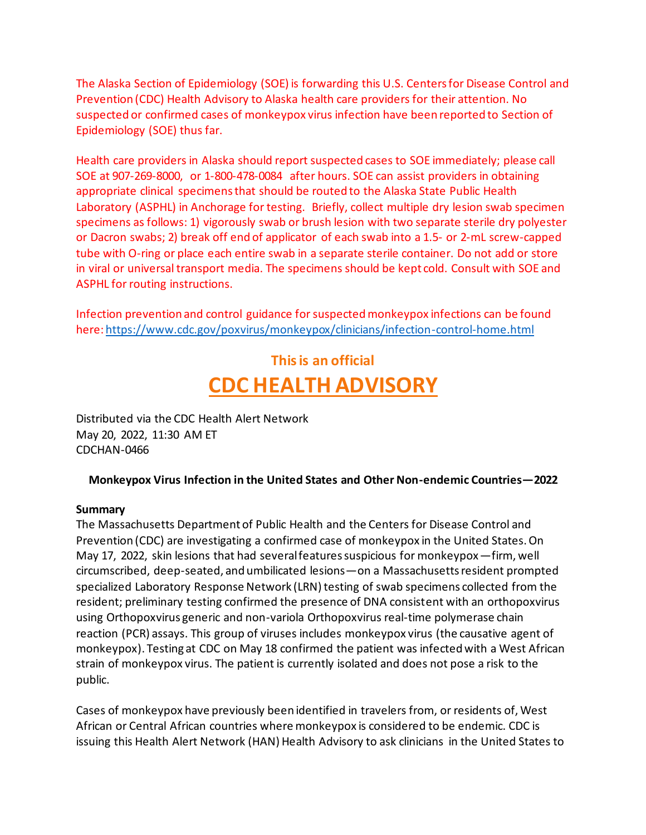The Alaska Section of Epidemiology (SOE) is forwarding this U.S. Centers for Disease Control and Prevention (CDC) Health Advisory to Alaska health care providers for their attention. No suspected or confirmed cases of monkeypox virus infection have been reported to Section of Epidemiology (SOE) thus far.

Health care providers in Alaska should report suspected cases to SOE immediately; please call SOE at 907-269-8000, or 1-800-478-0084 after hours. SOE can assist providers in obtaining appropriate clinical specimens that should be routed to the Alaska State Public Health Laboratory (ASPHL) in Anchorage for testing. Briefly, collect multiple dry lesion swab specimen specimens as follows: 1) vigorously swab or brush lesion with two separate sterile dry polyester or Dacron swabs; 2) break off end of applicator of each swab into a 1.5- or 2-mL screw-capped tube with O-ring or place each entire swab in a separate sterile container. Do not add or store in viral or universal transport media. The specimens should be kept cold. Consult with SOE and ASPHL for routing instructions.

Infection prevention and control guidance for suspected monkeypox infections can be found here[: https://www.cdc.gov/poxvirus/monkeypox/clinicians/infection-control-home.html](https://gcc02.safelinks.protection.outlook.com/?url=https%3A%2F%2Fwww.cdc.gov%2Fpoxvirus%2Fmonkeypox%2Fclinicians%2Finfection-control-home.html&data=05%7C01%7Celizabeth.manning%40alaska.gov%7C52852e5413df4fcae8bf08da3ac0554b%7C20030bf67ad942f7927359ea83fcfa38%7C0%7C0%7C637886894988358759%7CUnknown%7CTWFpbGZsb3d8eyJWIjoiMC4wLjAwMDAiLCJQIjoiV2luMzIiLCJBTiI6Ik1haWwiLCJXVCI6Mn0%3D%7C3000%7C%7C%7C&sdata=bag5AQNFfRS%2Fgc5VpVi5%2FMC2BnF1z1zwiI4%2BTnogz7M%3D&reserved=0)

# **This is an official CDC HEALTH ADVISORY**

Distributed via the CDC Health Alert Network May 20, 2022, 11:30 AM ET CDCHAN-0466

## **Monkeypox Virus Infection in the United States and Other Non-endemic Countries—2022**

#### **Summary**

The Massachusetts Department of Public Health and the Centers for Disease Control and Prevention (CDC) are investigating a confirmed case of monkeypox in the United States. On May 17, 2022, skin lesions that had several features suspicious for monkeypox—firm, well circumscribed, deep-seated, and umbilicated lesions—on a Massachusetts resident prompted specialized Laboratory Response Network (LRN) testing of swab specimens collected from the resident; preliminary testing confirmed the presence of DNA consistent with an orthopoxvirus using Orthopoxvirus generic and non-variola Orthopoxvirus real-time polymerase chain reaction (PCR) assays. This group of viruses includes monkeypox virus (the causative agent of monkeypox). Testing at CDC on May 18 confirmed the patient was infected with a West African strain of monkeypox virus. The patient is currently isolated and does not pose a risk to the public.

Cases of monkeypox have previously been identified in travelers from, or residents of, West African or Central African countries where monkeypox is considered to be endemic. CDC is issuing this Health Alert Network (HAN) Health Advisory to ask clinicians in the United States to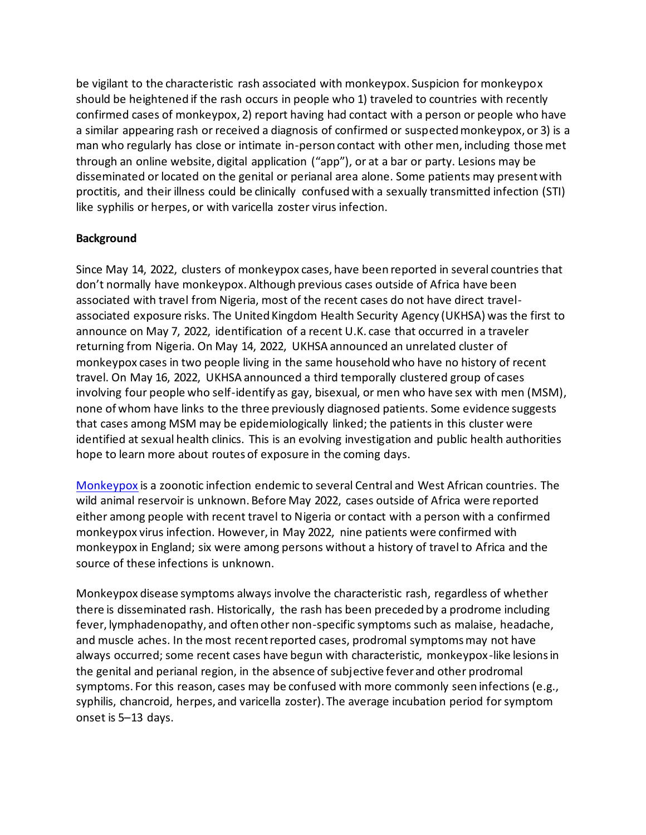be vigilant to the characteristic rash associated with monkeypox. Suspicion for monkeypox should be heightened if the rash occurs in people who 1) traveled to countries with recently confirmed cases of monkeypox, 2) report having had contact with a person or people who have a similar appearing rash or received a diagnosis of confirmed or suspected monkeypox, or 3) is a man who regularly has close or intimate in-person contact with other men, including those met through an online website, digital application ("app"), or at a bar or party. Lesions may be disseminated or located on the genital or perianal area alone. Some patients may present with proctitis, and their illness could be clinically confused with a sexually transmitted infection (STI) like syphilis or herpes, or with varicella zoster virus infection.

## **Background**

Since May 14, 2022, clusters of monkeypox cases, have been reported in several countries that don't normally have monkeypox. Although previous cases outside of Africa have been associated with travel from Nigeria, most of the recent cases do not have direct travelassociated exposure risks. The United Kingdom Health Security Agency (UKHSA) was the first to announce on May 7, 2022, identification of a recent U.K. case that occurred in a traveler returning from Nigeria. On May 14, 2022, UKHSA announced an unrelated cluster of monkeypox cases in two people living in the same household who have no history of recent travel. On May 16, 2022, UKHSA announced a third temporally clustered group of cases involving four people who self-identify as gay, bisexual, or men who have sex with men (MSM), none of whom have links to the three previously diagnosed patients. Some evidence suggests that cases among MSM may be epidemiologically linked; the patients in this cluster were identified at sexual health clinics. This is an evolving investigation and public health authorities hope to learn more about routes of exposure in the coming days.

[Monkeypox](https://gcc02.safelinks.protection.outlook.com/?url=https%3A%2F%2Fwww.cdc.gov%2Fpoxvirus%2Fmonkeypox%2F&data=05%7C01%7Celizabeth.manning%40alaska.gov%7Ccdd0b649cbb04db21e2408da3a824f64%7C20030bf67ad942f7927359ea83fcfa38%7C0%7C0%7C637886628592192311%7CUnknown%7CTWFpbGZsb3d8eyJWIjoiMC4wLjAwMDAiLCJQIjoiV2luMzIiLCJBTiI6Ik1haWwiLCJXVCI6Mn0%3D%7C3000%7C%7C%7C&sdata=xY5K25gIehsZGD6Bt%2FX0uwCeDi%2BnB8gFb7VhLROPdHU%3D&reserved=0) is a zoonotic infection endemic to several Central and West African countries. The wild animal reservoir is unknown. Before May 2022, cases outside of Africa were reported either among people with recent travel to Nigeria or contact with a person with a confirmed monkeypox virus infection. However, in May 2022, nine patients were confirmed with monkeypox in England; six were among persons without a history of travel to Africa and the source of these infections is unknown.

Monkeypox disease symptoms always involve the characteristic rash, regardless of whether there is disseminated rash. Historically, the rash has been preceded by a prodrome including fever, lymphadenopathy, and often other non-specific symptoms such as malaise, headache, and muscle aches. In the most recent reported cases, prodromal symptoms may not have always occurred; some recent cases have begun with characteristic, monkeypox-like lesions in the genital and perianal region, in the absence of subjective fever and other prodromal symptoms. For this reason, cases may be confused with more commonly seen infections (e.g., syphilis, chancroid, herpes, and varicella zoster). The average incubation period for symptom onset is 5–13 days.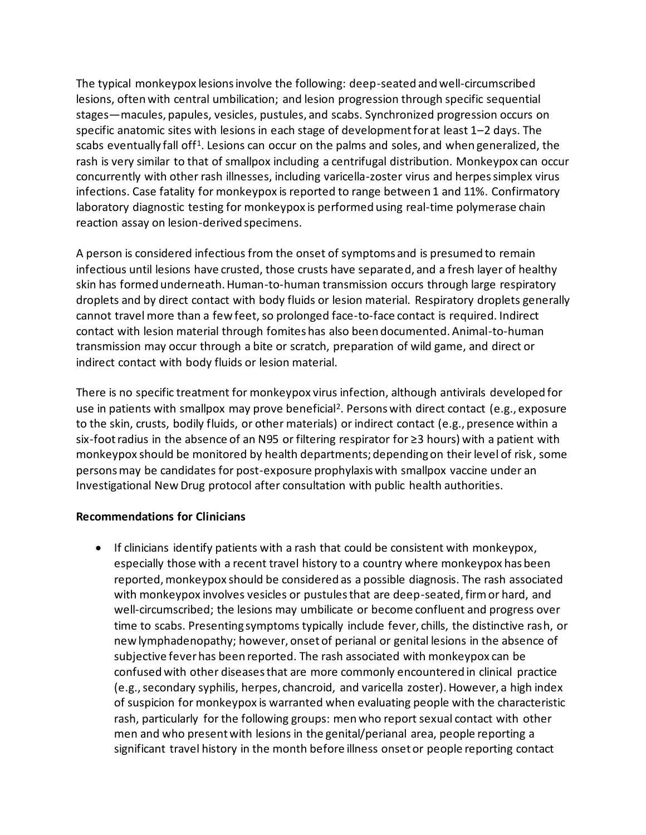The typical monkeypox lesions involve the following: deep-seated and well-circumscribed lesions, often with central umbilication; and lesion progression through specific sequential stages—macules, papules, vesicles, pustules, and scabs. Synchronized progression occurs on specific anatomic sites with lesions in each stage of development for at least 1–2 days. The scabs eventually fall off<sup>1</sup>. Lesions can occur on the palms and soles, and when generalized, the rash is very similar to that of smallpox including a centrifugal distribution. Monkeypox can occur concurrently with other rash illnesses, including varicella-zoster virus and herpes simplex virus infections. Case fatality for monkeypox is reported to range between 1 and 11%. Confirmatory laboratory diagnostic testing for monkeypox is performed using real-time polymerase chain reaction assay on lesion-derived specimens.

A person is considered infectious from the onset of symptoms and is presumed to remain infectious until lesions have crusted, those crusts have separated, and a fresh layer of healthy skin has formed underneath. Human-to-human transmission occurs through large respiratory droplets and by direct contact with body fluids or lesion material. Respiratory droplets generally cannot travel more than a few feet, so prolonged face-to-face contact is required. Indirect contact with lesion material through fomites has also been documented. Animal-to-human transmission may occur through a bite or scratch, preparation of wild game, and direct or indirect contact with body fluids or lesion material.

There is no specific treatment for monkeypox virus infection, although antivirals developed for use in patients with smallpox may prove beneficial<sup>2</sup>. Persons with direct contact (e.g., exposure to the skin, crusts, bodily fluids, or other materials) or indirect contact (e.g., presence within a six-foot radius in the absence of an N95 or filtering respirator for ≥3 hours) with a patient with monkeypox should be monitored by health departments; depending on their level of risk, some persons may be candidates for post-exposure prophylaxis with smallpox vaccine under an Investigational New Drug protocol after consultation with public health authorities.

## **Recommendations for Clinicians**

• If clinicians identify patients with a rash that could be consistent with monkeypox, especially those with a recent travel history to a country where monkeypox has been reported, monkeypox should be considered as a possible diagnosis. The rash associated with monkeypox involves vesicles or pustules that are deep-seated, firm or hard, and well-circumscribed; the lesions may umbilicate or become confluent and progress over time to scabs. Presenting symptoms typically include fever, chills, the distinctive rash, or new lymphadenopathy; however, onset of perianal or genital lesions in the absence of subjective fever has been reported. The rash associated with monkeypox can be confused with other diseases that are more commonly encountered in clinical practice (e.g., secondary syphilis, herpes, chancroid, and varicella zoster). However, a high index of suspicion for monkeypox is warranted when evaluating people with the characteristic rash, particularly for the following groups: men who report sexual contact with other men and who present with lesions in the genital/perianal area, people reporting a significant travel history in the month before illness onset or people reporting contact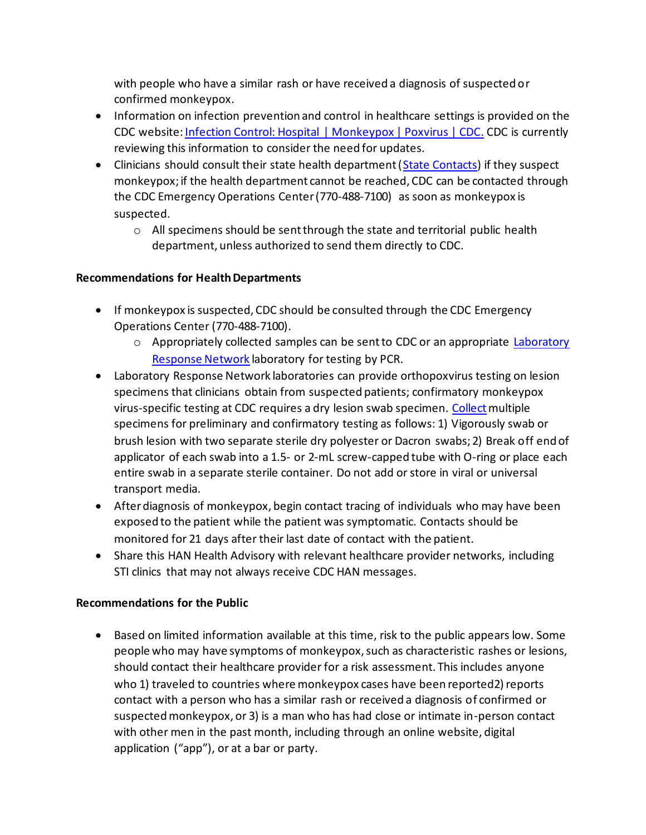with people who have a similar rash or have received a diagnosis of suspected or confirmed monkeypox.

- Information on infection prevention and control in healthcare settings is provided on the CDC website[: Infection Control: Hospital | Monkeypox | Poxvirus | CDC.](https://gcc02.safelinks.protection.outlook.com/?url=https%3A%2F%2Fwww.cdc.gov%2Fpoxvirus%2Fmonkeypox%2Fclinicians%2Finfection-control-hospital.html&data=05%7C01%7Celizabeth.manning%40alaska.gov%7Ccdd0b649cbb04db21e2408da3a824f64%7C20030bf67ad942f7927359ea83fcfa38%7C0%7C0%7C637886628592192311%7CUnknown%7CTWFpbGZsb3d8eyJWIjoiMC4wLjAwMDAiLCJQIjoiV2luMzIiLCJBTiI6Ik1haWwiLCJXVCI6Mn0%3D%7C3000%7C%7C%7C&sdata=dsokRv04IV7SE9J%2F6uurGoXpCDR3wxkUAnkDSTf2KrM%3D&reserved=0) CDC is currently reviewing this information to consider the need for updates.
- Clinicians should consult their state health department [\(State Contacts\)](https://gcc02.safelinks.protection.outlook.com/?url=https%3A%2F%2Fresources.cste.org%2Fepiafterhours&data=05%7C01%7Celizabeth.manning%40alaska.gov%7Ccdd0b649cbb04db21e2408da3a824f64%7C20030bf67ad942f7927359ea83fcfa38%7C0%7C0%7C637886628592192311%7CUnknown%7CTWFpbGZsb3d8eyJWIjoiMC4wLjAwMDAiLCJQIjoiV2luMzIiLCJBTiI6Ik1haWwiLCJXVCI6Mn0%3D%7C3000%7C%7C%7C&sdata=pU28J3H5%2BlaFa488uRP8WcgGSInY%2B6Zptaw4YzvWstw%3D&reserved=0) if they suspect monkeypox; if the health department cannot be reached, CDC can be contacted through the CDC Emergency Operations Center (770-488-7100) as soon as monkeypox is suspected.
	- $\circ$  All specimens should be sent through the state and territorial public health department, unless authorized to send them directly to CDC.

## **Recommendations for Health Departments**

- If monkeypox is suspected, CDC should be consulted through the CDC Emergency Operations Center (770-488-7100).
	- o Appropriately collected samples can be sent to CDC or an appropriate Laboratory [Response Network](https://gcc02.safelinks.protection.outlook.com/?url=https%3A%2F%2Femergency.cdc.gov%2Flrn%2Findex.asp&data=05%7C01%7Celizabeth.manning%40alaska.gov%7Ccdd0b649cbb04db21e2408da3a824f64%7C20030bf67ad942f7927359ea83fcfa38%7C0%7C0%7C637886628592660962%7CUnknown%7CTWFpbGZsb3d8eyJWIjoiMC4wLjAwMDAiLCJQIjoiV2luMzIiLCJBTiI6Ik1haWwiLCJXVCI6Mn0%3D%7C3000%7C%7C%7C&sdata=GQHPs9utGP4rIC%2BlwlPYjm1Q7U%2BVXVebf8jR%2F8KJBGo%3D&reserved=0) laboratory for testing by PCR.
- Laboratory Response Network laboratories can provide orthopoxvirus testing on lesion specimens that clinicians obtain from suspected patients; confirmatory monkeypox virus-specific testing at CDC requires a dry lesion swab specimen[. Collect](https://gcc02.safelinks.protection.outlook.com/?url=https%3A%2F%2Fwww.cdc.gov%2Fpoxvirus%2Fmonkeypox%2Fclinicians%2Fprep-collection-specimens.html&data=05%7C01%7Celizabeth.manning%40alaska.gov%7Ccdd0b649cbb04db21e2408da3a824f64%7C20030bf67ad942f7927359ea83fcfa38%7C0%7C0%7C637886628592660962%7CUnknown%7CTWFpbGZsb3d8eyJWIjoiMC4wLjAwMDAiLCJQIjoiV2luMzIiLCJBTiI6Ik1haWwiLCJXVCI6Mn0%3D%7C3000%7C%7C%7C&sdata=cMiF4wTDgsF8Ll9iFHWdCkC2ZLMPFAg26IoZCgKpM%2BY%3D&reserved=0) multiple specimens for preliminary and confirmatory testing as follows: 1) Vigorously swab or brush lesion with two separate sterile dry polyester or Dacron swabs; 2) Break off end of applicator of each swab into a 1.5- or 2-mL screw-capped tube with O-ring or place each entire swab in a separate sterile container. Do not add or store in viral or universal transport media.
- After diagnosis of monkeypox, begin contact tracing of individuals who may have been exposed to the patient while the patient was symptomatic. Contacts should be monitored for 21 days after their last date of contact with the patient.
- Share this HAN Health Advisory with relevant healthcare provider networks, including STI clinics that may not always receive CDC HAN messages.

## **Recommendations for the Public**

• Based on limited information available at this time, risk to the public appears low. Some people who may have symptoms of monkeypox, such as characteristic rashes or lesions, should contact their healthcare provider for a risk assessment. This includes anyone who 1) traveled to countries where monkeypox cases have been reported2) reports contact with a person who has a similar rash or received a diagnosis of confirmed or suspected monkeypox, or 3) is a man who has had close or intimate in-person contact with other men in the past month, including through an online website, digital application ("app"), or at a bar or party.